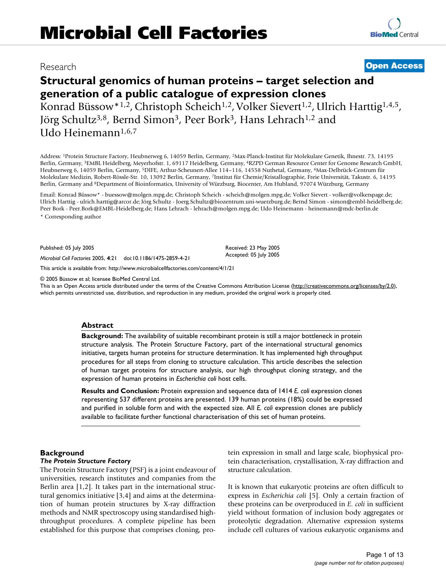**[BioMed](http://www.biomedcentral.com/)** Central

# Research **[Open Access](http://www.biomedcentral.com/info/about/charter/) Structural genomics of human proteins – target selection and generation of a public catalogue of expression clones**

Konrad Büssow<sup>\*1,2</sup>, Christoph Scheich<sup>1,2</sup>, Volker Sievert<sup>1,2</sup>, Ulrich Harttig<sup>1,4,5</sup>, Jörg Schultz<sup>3,8</sup>, Bernd Simon<sup>3</sup>, Peer Bork<sup>3</sup>, Hans Lehrach<sup>1,2</sup> and Udo Heinemann1,6,7

Address: 1Protein Structure Factory, Heubnerweg 6, 14059 Berlin, Germany, 2Max-Planck-Institut für Molekulare Genetik, Ihnestr. 73, 14195 Berlin, Germany, 3EMBL Heidelberg, Meyerhofstr. 1, 69117 Heidelberg, Germany, 4RZPD German Resource Center for Genome Research GmbH, Heubnerweg 6, 14059 Berlin, Germany, 5DIFE, Arthur-Scheunert-Allee 114–116, 14558 Nuthetal, Germany, 6Max-Delbrück-Centrum für Molekulare Medizin, Robert-Rössle-Str. 10, 13092 Berlin, Germany, 7Institut für Chemie/Kristallographie, Freie Universität, Takustr. 6, 14195 Berlin, Germany and 8Department of Bioinformatics, University of Würzburg, Biocenter, Am Hubland, 97074 Würzburg, Germany

Email: Konrad Büssow\* - buessow@molgen.mpg.de; Christoph Scheich - scheich@molgen.mpg.de; Volker Sievert - volker@volkerspage.de; Ulrich Harttig - ulrich.harttig@arcor.de; Jörg Schultz - Joerg.Schultz@biozentrum.uni-wuerzburg.de; Bernd Simon - simon@embl-heidelberg.de; Peer Bork - Peer.Bork@EMBL-Heidelberg.de; Hans Lehrach - lehrach@molgen.mpg.de; Udo Heinemann - heinemann@mdc-berlin.de \* Corresponding author

> Received: 23 May 2005 Accepted: 05 July 2005

Published: 05 July 2005

*Microbial Cell Factories* 2005, **4**:21 doi:10.1186/1475-2859-4-21

[This article is available from: http://www.microbialcellfactories.com/content/4/1/21](http://www.microbialcellfactories.com/content/4/1/21)

© 2005 Büssow et al; licensee BioMed Central Ltd.

This is an Open Access article distributed under the terms of the Creative Commons Attribution License [\(http://creativecommons.org/licenses/by/2.0\)](http://creativecommons.org/licenses/by/2.0), which permits unrestricted use, distribution, and reproduction in any medium, provided the original work is properly cited.

#### **Abstract**

**Background:** The availability of suitable recombinant protein is still a major bottleneck in protein structure analysis. The Protein Structure Factory, part of the international structural genomics initiative, targets human proteins for structure determination. It has implemented high throughput procedures for all steps from cloning to structure calculation. This article describes the selection of human target proteins for structure analysis, our high throughput cloning strategy, and the expression of human proteins in *Escherichia coli* host cells.

**Results and Conclusion:** Protein expression and sequence data of 1414 *E. coli* expression clones representing 537 different proteins are presented. 139 human proteins (18%) could be expressed and purified in soluble form and with the expected size. All *E. coli* expression clones are publicly available to facilitate further functional characterisation of this set of human proteins.

#### **Background**

#### *The Protein Structure Factory*

The Protein Structure Factory (PSF) is a joint endeavour of universities, research institutes and companies from the Berlin area [1,2]. It takes part in the international structural genomics initiative [3,4] and aims at the determination of human protein structures by X-ray diffraction methods and NMR spectroscopy using standardised highthroughput procedures. A complete pipeline has been established for this purpose that comprises cloning, protein expression in small and large scale, biophysical protein characterisation, crystallisation, X-ray diffraction and structure calculation.

It is known that eukaryotic proteins are often difficult to express in *Escherichia coli* [5]. Only a certain fraction of these proteins can be overproduced in *E. coli* in sufficient yield without formation of inclusion body aggregates or proteolytic degradation. Alternative expression systems include cell cultures of various eukaryotic organisms and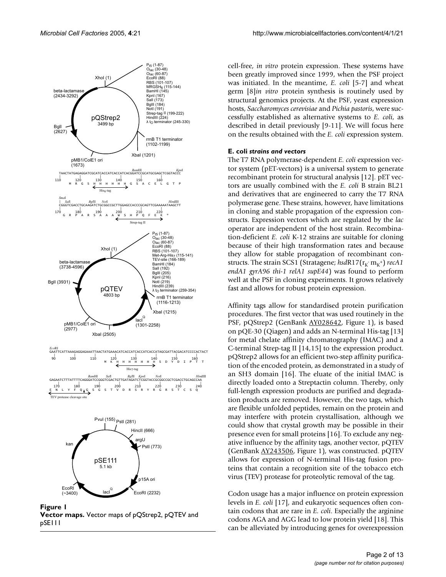

**Figure 1 Vector maps.** Vector maps of pQStrep2, pQTEV and pSE111

cell-free, *in vitro* protein expression. These systems have been greatly improved since 1999, when the PSF project was initiated. In the meantime, *E. coli* [5-7] and wheat germ [8]*in vitro* protein synthesis is routinely used by structural genomics projects. At the PSF, yeast expression hosts, *Saccharomyces cerevisiae* and *Pichia pastoris*, were successfully established as alternative systems to *E. coli*, as described in detail previously [9-11]. We will focus here on the results obtained with the *E. coli* expression system.

#### **E. coli** *strains and vectors*

The T7 RNA polymerase-dependent *E. coli* expression vector system (pET-vectors) is a universal system to generate recombinant protein for structural analysis [12]. pET vectors are usually combined with the *E. coli* B strain BL21 and derivatives that are engineered to carry the T7 RNA polymerase gene. These strains, however, have limitations in cloning and stable propagation of the expression constructs. Expression vectors which are regulated by the *lac* operator are independent of the host strain. Recombination-deficient *E. coli* K-12 strains are suitable for cloning because of their high transformation rates and because they allow for stable propagation of recombinant constructs. The strain SCS1 (Stratagene; *hsd*R17( $\mathbf{r}_{\mathsf{K}}$  m<sub>K</sub>+) *recA1 endA1 gyrA96 thi-1 relA1 supE44*) was found to perform well at the PSF in cloning experiments. It grows relatively fast and allows for robust protein expression.

Affinity tags allow for standardised protein purification procedures. The first vector that was used routinely in the PSF, pQStrep2 (GenBank [AY028642,](http://www.ncbi.nih.gov/entrez/query.fcgi?db=Nucleotide&cmd=search&term=AY028642) Figure 1), is based on pQE-30 (Qiagen) and adds an N-terminal His-tag [13] for metal chelate affinity chromatography (IMAC) and a C-terminal Strep-tag II [14,15] to the expression product. pQStrep2 allows for an efficient two-step affinity purification of the encoded protein, as demonstrated in a study of an SH3 domain [16]. The eluate of the initial IMAC is directly loaded onto a Streptactin column. Thereby, only full-length expression products are purified and degradation products are removed. However, the two tags, which are flexible unfolded peptides, remain on the protein and may interfere with protein crystallisation, although we could show that crystal growth may be possible in their presence even for small proteins [16]. To exclude any negative influence by the affinity tags, another vector, pQTEV (GenBank [AY243506,](http://www.ncbi.nih.gov/entrez/query.fcgi?db=Nucleotide&cmd=search&term=AY243506) Figure 1), was constructed. pQTEV allows for expression of N-terminal His-tag fusion proteins that contain a recognition site of the tobacco etch virus (TEV) protease for proteolytic removal of the tag.

Codon usage has a major influence on protein expression levels in *E. coli* [17], and eukaryotic sequences often contain codons that are rare in *E. coli*. Especially the arginine codons AGA and AGG lead to low protein yield [18]. This can be alleviated by introducing genes for overexpression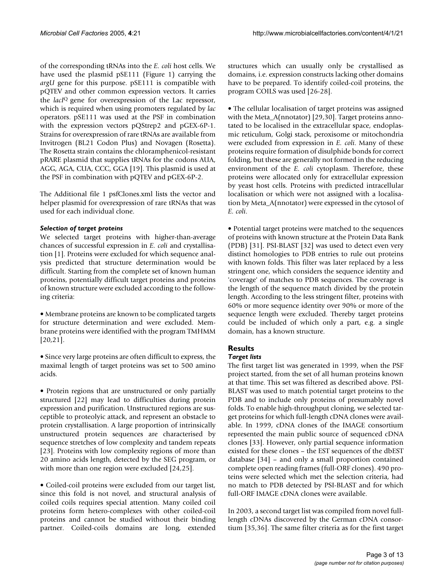of the corresponding tRNAs into the *E. coli* host cells. We have used the plasmid pSE111 (Figure 1) carrying the *argU* gene for this purpose. pSE111 is compatible with pQTEV and other common expression vectors. It carries the *lacI*Q gene for overexpression of the Lac repressor, which is required when using promoters regulated by *lac* operators. pSE111 was used at the PSF in combination with the expression vectors pQStrep2 and pGEX-6P-1. Strains for overexpression of rare tRNAs are available from Invitrogen (BL21 Codon Plus) and Novagen (Rosetta). The Rosetta strain contains the chloramphenicol-resistant pRARE plasmid that supplies tRNAs for the codons AUA, AGG, AGA, CUA, CCC, GGA [19]. This plasmid is used at the PSF in combination with pQTEV and pGEX-6P-2.

The Additional file 1 psfClones.xml lists the vector and helper plasmid for overexpression of rare tRNAs that was used for each individual clone.

#### *Selection of target proteins*

We selected target proteins with higher-than-average chances of successful expression in *E. coli* and crystallisation [1]. Proteins were excluded for which sequence analysis predicted that structure determination would be difficult. Starting from the complete set of known human proteins, potentially difficult target proteins and proteins of known structure were excluded according to the following criteria:

• Membrane proteins are known to be complicated targets for structure determination and were excluded. Membrane proteins were identified with the program TMHMM [20,21].

• Since very large proteins are often difficult to express, the maximal length of target proteins was set to 500 amino acids.

• Protein regions that are unstructured or only partially structured [22] may lead to difficulties during protein expression and purification. Unstructured regions are susceptible to proteolyic attack, and represent an obstacle to protein crystallisation. A large proportion of intrinsically unstructured protein sequences are characterised by sequence stretches of low complexity and tandem repeats [23]. Proteins with low complexity regions of more than 20 amino acids length, detected by the SEG program, or with more than one region were excluded [24,25].

• Coiled-coil proteins were excluded from our target list, since this fold is not novel, and structural analysis of coiled coils requires special attention. Many coiled coil proteins form hetero-complexes with other coiled-coil proteins and cannot be studied without their binding partner. Coiled-coils domains are long, extended structures which can usually only be crystallised as domains, i.e. expression constructs lacking other domains have to be prepared. To identify coiled-coil proteins, the program COILS was used [26-28].

• The cellular localisation of target proteins was assigned with the Meta\_A(nnotator) [29,30]. Target proteins annotated to be localised in the extracellular space, endoplasmic reticulum, Golgi stack, peroxisome or mitochondria were excluded from expression in *E. coli*. Many of these proteins require formation of disulphide bonds for correct folding, but these are generally not formed in the reducing environment of the *E. coli* cytoplasm. Therefore, these proteins were allocated only for extracellular expression by yeast host cells. Proteins with predicted intracellular localisation or which were not assigned with a localisation by Meta\_A(nnotator) were expressed in the cytosol of *E. coli*.

• Potential target proteins were matched to the sequences of proteins with known structure at the Protein Data Bank (PDB) [31]. PSI-BLAST [32] was used to detect even very distinct homologies to PDB entries to rule out proteins with known folds. This filter was later replaced by a less stringent one, which considers the sequence identity and 'coverage' of matches to PDB sequences. The coverage is the length of the sequence match divided by the protein length. According to the less stringent filter, proteins with 60% or more sequence identity over 90% or more of the sequence length were excluded. Thereby target proteins could be included of which only a part, e.g. a single domain, has a known structure.

## **Results**

### *Target lists*

The first target list was generated in 1999, when the PSF project started, from the set of all human proteins known at that time. This set was filtered as described above. PSI-BLAST was used to match potential target proteins to the PDB and to include only proteins of presumably novel folds. To enable high-throughput cloning, we selected target proteins for which full-length cDNA clones were available. In 1999, cDNA clones of the IMAGE consortium represented the main public source of sequenced cDNA clones [33]. However, only partial sequence information existed for these clones – the EST sequences of the dbEST database [34] – and only a small proportion contained complete open reading frames (full-ORF clones). 490 proteins were selected which met the selection criteria, had no match to PDB detected by PSI-BLAST and for which full-ORF IMAGE cDNA clones were available.

In 2003, a second target list was compiled from novel fulllength cDNAs discovered by the German cDNA consortium [35,36]. The same filter criteria as for the first target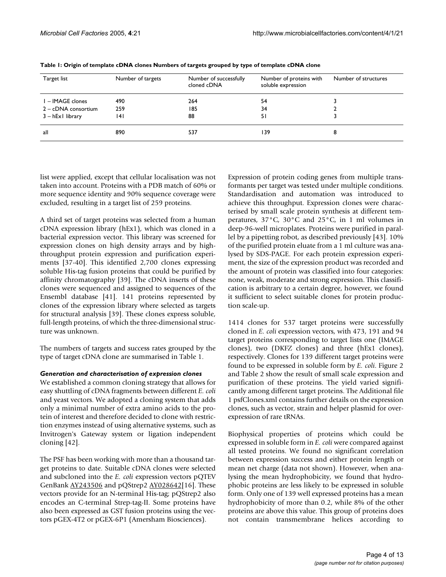| Target list             | Number of targets | Number of successfully<br>cloned cDNA | Number of proteins with<br>soluble expression | Number of structures |
|-------------------------|-------------------|---------------------------------------|-----------------------------------------------|----------------------|
| I – IMAGE clones        | 490               | 264                                   | 54                                            |                      |
| $2 - cDNA \nconsortium$ | 259               | 185                                   | 34                                            |                      |
| $3 - hEx1$ library      | 14 I              | 88                                    | 51                                            |                      |
| all                     | 890               | 537                                   | 39                                            | 8                    |

**Table 1: Origin of template cDNA clones Numbers of targets grouped by type of template cDNA clone**

list were applied, except that cellular localisation was not taken into account. Proteins with a PDB match of 60% or more sequence identity and 90% sequence coverage were excluded, resulting in a target list of 259 proteins.

A third set of target proteins was selected from a human cDNA expression library (hEx1), which was cloned in a bacterial expression vector. This library was screened for expression clones on high density arrays and by highthroughput protein expression and purification experiments [37-40]. This identified 2,700 clones expressing soluble His-tag fusion proteins that could be purified by affinity chromatography [39]. The cDNA inserts of these clones were sequenced and assigned to sequences of the Ensembl database [41]. 141 proteins represented by clones of the expression library where selected as targets for structural analysis [39]. These clones express soluble, full-length proteins, of which the three-dimensional structure was unknown.

The numbers of targets and success rates grouped by the type of target cDNA clone are summarised in Table 1.

#### *Generation and characterisation of expression clones*

We established a common cloning strategy that allows for easy shuttling of cDNA fragments between different *E. coli* and yeast vectors. We adopted a cloning system that adds only a minimal number of extra amino acids to the protein of interest and therefore decided to clone with restriction enzymes instead of using alternative systems, such as Invitrogen's Gateway system or ligation independent cloning [42].

The PSF has been working with more than a thousand target proteins to date. Suitable cDNA clones were selected and subcloned into the *E. coli* expression vectors pQTEV GenBank [AY243506](http://www.ncbi.nih.gov/entrez/query.fcgi?db=Nucleotide&cmd=search&term=AY243506) and pQStrep2 [AY028642](http://www.ncbi.nih.gov/entrez/query.fcgi?db=Nucleotide&cmd=search&term=AY028642)[16]. These vectors provide for an N-terminal His-tag; pQStrep2 also encodes an C-terminal Strep-tag-II. Some proteins have also been expressed as GST fusion proteins using the vectors pGEX-4T2 or pGEX-6P1 (Amersham Biosciences).

Expression of protein coding genes from multiple transformants per target was tested under multiple conditions. Standardisation and automation was introduced to achieve this throughput. Expression clones were characterised by small scale protein synthesis at different temperatures, 37°C, 30°C and 25°C, in 1 ml volumes in deep-96-well microplates. Proteins were purified in parallel by a pipetting robot, as described previously [43]. 10% of the purified protein eluate from a 1 ml culture was analysed by SDS-PAGE. For each protein expression experiment, the size of the expression product was recorded and the amount of protein was classified into four categories: none, weak, moderate and strong expression. This classification is arbitrary to a certain degree, however, we found it sufficient to select suitable clones for protein production scale-up.

1414 clones for 537 target proteins were successfully cloned in *E. coli* expression vectors, with 473, 191 and 94 target proteins corresponding to target lists one (IMAGE clones), two (DKFZ clones) and three (hEx1 clones), respectively. Clones for 139 different target proteins were found to be expressed in soluble form by *E. coli*. Figure [2](#page-4-0) and Table [2](#page-5-0) show the result of small scale expression and purification of these proteins. The yield varied significantly among different target proteins. The Additional file 1 psfClones.xml contains further details on the expression clones, such as vector, strain and helper plasmid for overexpression of rare tRNAs.

Biophysical properties of proteins which could be expressed in soluble form in *E. coli* were compared against all tested proteins. We found no significant correlation between expression success and either protein length or mean net charge (data not shown). However, when analysing the mean hydrophobicity, we found that hydrophobic proteins are less likely to be expressed in soluble form. Only one of 139 well expressed proteins has a mean hydrophobicity of more than 0.2, while 8% of the other proteins are above this value. This group of proteins does not contain transmembrane helices according to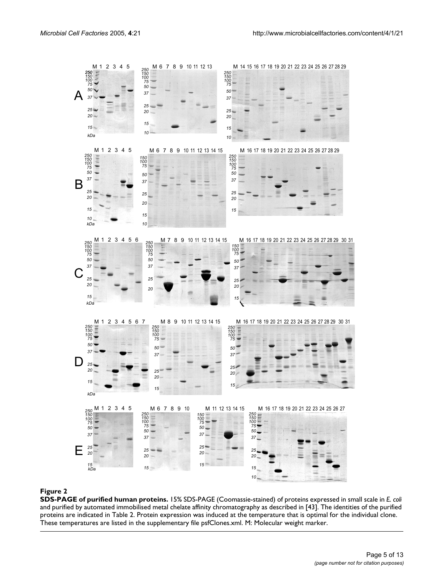<span id="page-4-0"></span>

#### **Figure 2**

**SDS-PAGE of purified human proteins.** 15% SDS-PAGE (Coomassie-stained) of proteins expressed in small scale in *E. coli*  and purified by automated immobilised metal chelate affinity chromatography as described in [43]. The identities of the purified proteins are indicated in Table 2. Protein expression was induced at the temperature that is optimal for the individual clone. These temperatures are listed in the supplementary file psfClones.xml. M: Molecular weight marker.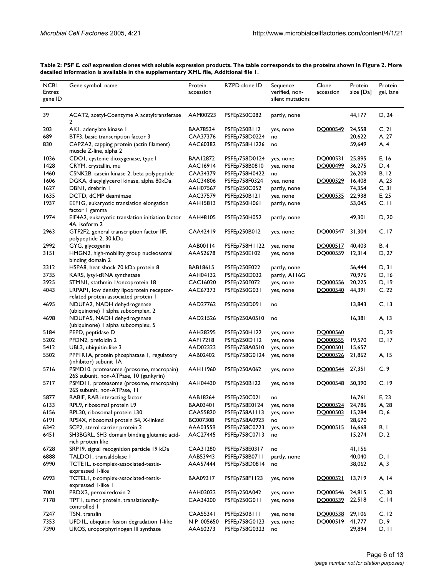|                                  |                                                                                   | Protein         |                           |                                                |                    |                      |                      |
|----------------------------------|-----------------------------------------------------------------------------------|-----------------|---------------------------|------------------------------------------------|--------------------|----------------------|----------------------|
| <b>NCBI</b><br>Entrez<br>gene ID | Gene symbol, name                                                                 | accession       | RZPD clone ID             | Sequence<br>verified, non-<br>silent mutations | Clone<br>accession | Protein<br>size [Da] | Protein<br>gel, lane |
| 39                               | ACAT2, acetyl-Coenzyme A acetyltransferase<br>2                                   | AAM00223        | PSFEp250C082              | partly, none                                   |                    | 44,177               | D, 24                |
| 203                              | AKI, adenylate kinase I                                                           | BAA78534        | PSFE <sub>p</sub> 250B112 | yes, none                                      | DO000549           | 24,558               | C, 21                |
| 689                              | BTF3, basic transcription factor 3                                                | CAA37376        | PSFEp758D0224             | no                                             |                    | 20,622               | A, 27                |
| 830                              | CAPZA2, capping protein (actin filament)<br>muscle Z-line, alpha 2                | AAC60382        | PSFEp758H1226             | no                                             |                    | 59,649               | A, 4                 |
| 1036                             | CDOI, cysteine dioxygenase, type I                                                | <b>BAA12872</b> | PSFEp758D0124             | yes, none                                      | DO000531           | 25,895               | E, 16                |
| 1428                             | CRYM, crystallin, mu                                                              | AAC16914        | PSFEp758B0810             | yes, none                                      | DO000499           | 36,275               | D, 4                 |
| 1460                             | CSNK2B, casein kinase 2, beta polypeptide                                         | CAA34379        | PSFEp758H0422             | no                                             |                    | 26,209               | B, 12                |
| 1606                             | DGKA, diacylglycerol kinase, alpha 80kDa                                          | AAC34806        | PSFEp758F0324             | yes, none                                      | DQ000529           | 16,408               | A, 23                |
| 1627                             | DBNI, drebrin I                                                                   | AAH07567        | PSFEp250C052              | partly, none                                   |                    | 74,354               | C, 31                |
| 1635                             | DCTD, dCMP deaminase                                                              | AAC37579        | PSFEp250B121              | yes, none                                      | DQ000535           | 22,938               | E, 25                |
| 1937                             | EEFIG, eukaryotic translation elongation<br>factor I gamma                        | AAH15813        | PSFEp250H061              | partly, none                                   |                    | 53,045               | $C,$ $ $ $ $         |
| 1974                             | EIF4A2, eukaryotic translation initiation factor<br>4A, isoform 2                 | AAH48105        | PSFEp250H052              | partly, none                                   |                    | 49,301               | D, 20                |
| 2963                             | GTF2F2, general transcription factor IIF,<br>polypeptide 2, 30 kDa                | CAA42419        | PSFEp250B012              | yes, none                                      | DQ000547           | 31,304               | C, 17                |
| 2992                             | GYG, glycogenin                                                                   | AAB00114        | PSFEp758H1122             | yes, none                                      | DQ000517           | 40,403               | B, 4                 |
| 3151                             | HMGN2, high-mobility group nucleosomal<br>binding domain 2                        | AAA52678        | PSFEp250E102              | yes, none                                      | DQ000559           | 12,314               | D, 27                |
| 3312                             | HSPA8, heat shock 70 kDa protein 8                                                | BAB18615        | PSFEp250E022              | partly, none                                   |                    | 56,444               | D, 31                |
| 3735                             | KARS, lysyl-tRNA synthetase                                                       | AAH04132        | PSFEp250D032              | partly, Al 16G                                 |                    | 70,976               | D, 16                |
| 3925                             | STMN1, stathmin 1/oncoprotein 18                                                  | CAC16020        | PSFEp250F072              | yes, none                                      | DQ000556           | 20,225               | D, 19                |
| 4043                             | LRPAPI, low density lipoprotein receptor-<br>related protein associated protein I | AAC67373        | PSFEp250G031              | yes, none                                      | DO000540           | 44,391               | C, 22                |
| 4695                             | NDUFA2, NADH dehydrogenase<br>(ubiquinone) I alpha subcomplex, 2                  | AAD27762        | PSFEp250D091              | no                                             |                    | 13,843               | C, 13                |
| 4698                             | NDUFA5, NADH dehydrogenase<br>(ubiquinone) I alpha subcomplex, 5                  | AAD21526        | PSFEp250A0510             | no                                             |                    | 16,381               | A, 13                |
| 5184                             | PEPD, peptidase D                                                                 | AAH28295        | PSFEp250H122              | yes, none                                      | DO000560           |                      | D, 29                |
| 5202                             | PFDN2, prefoldin 2                                                                | AAF17218        | PSFEp250D112              | yes, none                                      | DQ000555           | 19,570               | D, 17                |
| 5412                             | UBL3, ubiquitin-like 3                                                            | AAD02323        | PSFEp758A0510             | yes, none                                      | DO000501           | 15,657               |                      |
| 5502                             | PPPIRIA, protein phosphatase I, regulatory<br>(inhibitor) subunit IA              | AAB02402        | PSFEp758G0124             | yes, none                                      | DO000526           | 21,862               | A, 15                |
| 5716                             | PSMD10, proteasome (prosome, macropain)<br>26S subunit, non-ATPase, 10 (gankyrin) | AAH11960        | PSFEp250A062              | yes, none                                      | DO000544           | 27,351               | C, 9                 |
| 5717                             | PSMD11, proteasome (prosome, macropain)<br>26S subunit, non-ATPase, 11            | AAH04430        | PSFEp250B122              | yes, none                                      | DO000548           | 50,390               | C, 19                |
| 5877                             | RABIF, RAB interacting factor                                                     | AAB18264        | PSFEp250C021              | no                                             |                    | 16,761               | E, 23                |
| 6133                             | RPL9, ribosomal protein L9                                                        | BAA03401        | PSFEp758E0124             | yes, none                                      | DQ000524           | 24,786               | A, 28                |
| 6156                             | RPL30, ribosomal protein L30                                                      | CAA55820        | PSFEp758A1113             | yes, none                                      | DQ000503           | 15,284               | D, 6                 |
| 6191                             | RPS4X, ribosomal protein S4, X-linked                                             | BC007308        | PSFEp758A0923             | no                                             |                    | 28,670               |                      |
| 6342                             | SCP2, sterol carrier protein 2                                                    | AAA03559        | PSFEp758C0723             | yes, none                                      | DO000515           | 16,668               | B, I                 |
| 6451                             | SH3BGRL, SH3 domain binding glutamic acid-<br>rich protein like                   | AAC27445        | PSFEp758C0713             | no                                             |                    | 15,274               | D, 2                 |
| 6728                             | SRP19, signal recognition particle 19 kDa                                         | CAA31280        | PSFEp758E0317             | no                                             |                    | 41,156               |                      |
| 6888                             | TALDOI, transaldolase I                                                           | AAB53943        | PSFEp758B0711             | partly, none                                   |                    | 40,040               | D, I                 |
| 6990                             | TCTEIL, t-complex-associated-testis-<br>expressed I-like                          | AAA57444        | PSFEp758D0814             | no                                             |                    | 38,062               | A, 3                 |
| 6993                             | TCTEL1, t-complex-associated-testis-<br>expressed I-like I                        | BAA09317        | PSFEp758F1123             | yes, none                                      | DO000521           | 13,719               | A, 14                |
| 7001                             | PRDX2, peroxiredoxin 2                                                            | AAH03022        | PSFEp250A042              | yes, none                                      | DQ000546           | 24,815               | C, 30                |
| 7178                             | TPT1, tumor protein, translationally-<br>controlled I                             | CAA34200        | PSFEp250G011              | yes, none                                      | DO000539           | 22,518               | C, 14                |
| 7247                             | TSN, translin                                                                     | CAA55341        | PSFEp250B111              | yes, none                                      | DQ000538           | 29,106               | C, 12                |
| 7353                             | UFD1L, ubiquitin fusion degradation 1-like                                        | N P_005650      | PSFEp758G0123             | yes, none                                      | DQ000519           | 41,777               | D, 9                 |
| 7390                             | UROS, uroporphyrinogen III synthase                                               | AAA60273        | PSFEp758G0323             | no                                             |                    | 29,894               | D, II                |

<span id="page-5-0"></span>**Table 2: PSF** *E. coli* **expression clones with soluble expression products. The table corresponds to the proteins shown in Figure 2. More detailed information is available in the supplementary XML file, Additional file 1.**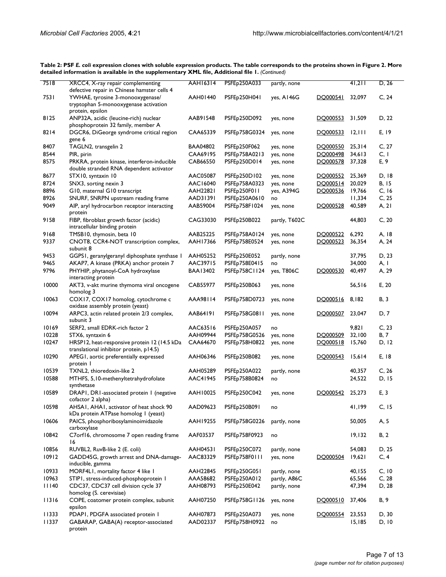| 7518  | XRCC4, X-ray repair complementing<br>defective repair in Chinese hamster cells 4                | <b>AAH16314</b> | PSFE <sub>p</sub> 250A033 | partly, none  |          | 41,211 | D, 26        |
|-------|-------------------------------------------------------------------------------------------------|-----------------|---------------------------|---------------|----------|--------|--------------|
| 7531  | YWHAE, tyrosine 3-monooxygenase/<br>tryptophan 5-monooxygenase activation                       | AAH01440        | PSFEp250H041              | yes, A146G    | DO000541 | 32,097 | C, 24        |
| 8125  | protein, epsilon<br>ANP32A, acidic (leucine-rich) nuclear<br>phosphoprotein 32 family, member A | AAB91548        | PSFEp250D092              | yes, none     | DO000553 | 31,509 | D, 22        |
| 8214  | DGCR6, DiGeorge syndrome critical region<br>gene 6                                              | CAA65339        | PSFEp758G0324             | yes, none     | DO000533 | 12,111 | E, 19        |
| 8407  | TAGLN2, transgelin 2                                                                            | <b>BAA04802</b> | PSFEp250F062              | yes, none     | DO000550 | 25,314 | C, 27        |
| 8544  | PIR, pirin                                                                                      | CAA69195        | PSFEp758A0213             | yes, none     | DO000498 | 34,613 | C, I         |
| 8575  | PRKRA, protein kinase, interferon-inducible<br>double stranded RNA dependent activator          | CAB66550        | PSFEp250D014              | yes, none     | DQ000578 | 37,328 | E, 9         |
| 8677  | STX10, syntaxin 10                                                                              | AAC05087        | PSFEp250D102              | yes, none     | DQ000552 | 25,369 | D, 18        |
| 8724  | SNX3, sorting nexin 3                                                                           | AAC16040        | PSFEp758A0323             | yes, none     | DO000514 | 20,029 | <b>B, 15</b> |
| 8896  | G10, maternal G10 transcript                                                                    | AAH22821        | PSFEp250F011              | yes, A394G    | DO000536 | 19,766 | C, 16        |
| 8926  | SNURF, SNRPN upstream reading frame                                                             | AAD31391        | PSFEp250A0610             | no            |          | 11,334 | C, 25        |
| 9049  | AIP, aryl hydrocarbon receptor interacting<br>protein                                           | AAB59004        | PSFEp758F1024             | yes, none     | DQ000528 | 40,589 | A, 2I        |
| 9158  | FIBP, fibroblast growth factor (acidic)<br>intracellular binding protein                        | CAG33030        | PSFEp250B022              | partly, T602C |          | 44,803 | C, 20        |
| 9168  | TMSB10, thymosin, beta 10                                                                       | AAB25225        | PSFEp758A0124             | yes, none     | DO000522 | 6,292  | A, 18        |
| 9337  | CNOT8, CCR4-NOT transcription complex,<br>subunit 8                                             | AAH17366        | PSFEp758E0524             | yes, none     | DQ000523 | 36,354 | A, 24        |
| 9453  | GGPS1, geranylgeranyl diphosphate synthase 1                                                    | AAH05252        | PSFEp250E052              | partly, none  |          | 37,795 | D, 23        |
| 9465  | AKAP7, A kinase (PRKA) anchor protein 7                                                         | AAC39715        | PSFEp758E0415             | no            |          | 34,000 | A, I         |
| 9796  | PHYHIP, phytanoyl-CoA hydroxylase<br>interacting protein                                        | <b>BAA13402</b> | PSFEp758C1124             | yes, T806C    | DO000530 | 40,497 | A, 29        |
| 10000 | AKT3, v-akt murine thymoma viral oncogene<br>homolog 3                                          | CAB55977        | PSFEp250B063              | yes, none     |          | 56,516 | E, 20        |
| 10063 | COX17, COX17 homolog, cytochrome c<br>oxidase assembly protein (yeast)                          | AAA98114        | PSFEp758D0723             | yes, none     | DO000516 | 8,182  | B, 3         |
| 10094 | ARPC3, actin related protein 2/3 complex,<br>subunit 3                                          | AAB64191        | PSFEp758G0811             | yes, none     | DO000507 | 23,047 | D, 7         |
| 10169 | SERF2, small EDRK-rich factor 2                                                                 | AAC63516        | PSFEp250A057              | no            |          | 9,821  | C, 23        |
| 10228 | STX6, syntaxin 6                                                                                | AAH09944        | PSFEp758G0526             | yes, none     | DQ000509 | 32,100 | <b>B</b> , 7 |
| 10247 | HRSP12, heat-responsive protein 12 (14.5 kDa<br>translational inhibitor protein, p14.5)         | CAA64670        | PSFEp758H0822             | yes, none     | DO000518 | 15,760 | D, 12        |
| 10290 | APEG1, aortic preferentially expressed<br>protein I                                             | AAH06346        | PSFEp250B082              | yes, none     | DQ000543 | 15,614 | E, 18        |
| 10539 | TXNL2, thioredoxin-like 2                                                                       | AAH05289        | PSFE <sub>P</sub> 250A022 | partly, none  |          | 40,357 | C, 26        |
| 10588 | MTHFS, 5,10-methenyltetrahydrofolate<br>synthetase                                              | AAC41945        | PSFEp758B0824             | no            |          | 24,522 | D, 15        |
| 10589 | DRAPI, DRI-associated protein I (negative<br>cofactor 2 alpha)                                  | AAH10025        | PSFEp250C042              | yes, none     | DO000542 | 25,273 | E, 3         |
| 10598 | AHSAI, AHAI, activator of heat shock 90<br>kDa protein ATPase homolog I (yeast)                 | AAD09623        | PSFEp250B091              | no            |          | 41,199 | C, 15        |
| 10606 | PAICS, phosphoribosylaminoimidazole<br>carboxylase                                              | <b>AAH19255</b> | PSFEp758G0226             | partly, none  |          | 50,005 | A, 5         |
| 10842 | C7orf16, chromosome 7 open reading frame<br>16                                                  | AAF03537        | PSFEp758F0923             | no            |          | 19,132 | <b>B</b> , 2 |
| 10856 | RUVBL2, RuvB-like 2 (E. coli)                                                                   | <b>AAH04531</b> | PSFEp250C072              | partly, none  |          | 54,083 | D, 25        |
| 10912 | GADD45G, growth arrest and DNA-damage-<br>inducible, gamma                                      | AAC83329        | PSFEp758F0111             | yes, none     | DQ000504 | 19,621 | C, 4         |
| 10933 | MORF4L1, mortality factor 4 like 1                                                              | AAH22845        | PSFEp250G051              | partly, none  |          | 40,155 | C, 10        |
| 10963 | STIPI, stress-induced-phosphoprotein I                                                          | AAA58682        | PSFEp250A012              | partly, A86C  |          | 65,566 | C, 28        |
| 40    | CDC37, CDC37 cell division cycle 37<br>homolog (S. cerevisiae)                                  | AAH08793        | PSFEp250E042              | partly, none  |          | 47,394 | D, 28        |
| 11316 | COPE, coatomer protein complex, subunit<br>epsilon                                              | AAH07250        | PSFEp758G1126             | yes, none     | DO000510 | 37,406 | B, 9         |
| 11333 | PDAPI, PDGFA associated protein 1                                                               | AAH07873        | PSFEp250A073              | yes, none     | DQ000554 | 23,553 | D, 30        |
| 11337 | GABARAP, GABA(A) receptor-associated<br>protein                                                 | AAD02337        | PSFEp758H0922             | no            |          | 15,185 | D, 10        |

**Table 2: PSF** *E. coli* **expression clones with soluble expression products. The table corresponds to the proteins shown in Figure 2. More detailed information is available in the supplementary XML file, Additional file 1.** *(Continued)*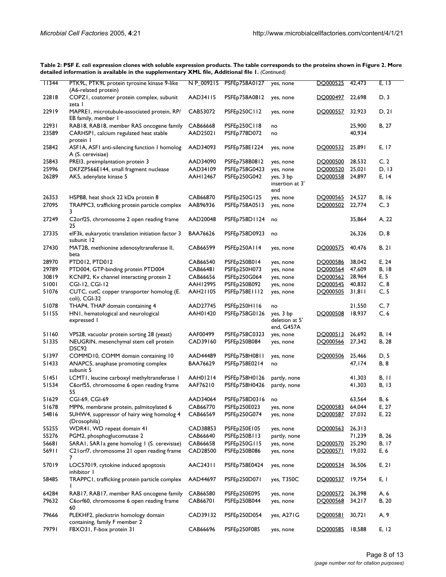| 11344 | PTK9L, PTK9L protein tyrosine kinase 9-like<br>(A6-related protein)  | NP_009215       | PSFEp758A0127              | yes, none                                 | DQ000525 | 42,473 | E, 13       |
|-------|----------------------------------------------------------------------|-----------------|----------------------------|-------------------------------------------|----------|--------|-------------|
| 22818 | COPZI, coatomer protein complex, subunit<br>zeta l                   | AAD34115        | PSFE <sub>p</sub> 758A0812 | yes, none                                 | DO000497 | 22,698 | D, 3        |
| 22919 | MAPREI, microtubule-associated protein, RP/<br>EB family, member I   | CAB53072        | PSFE <sub>p</sub> 250C112  | yes, none                                 | DQ000557 | 32,923 | D, 21       |
| 22931 | RAB18, RAB18, member RAS oncogene family                             | CAB66668        | PSFE <sub>p</sub> 250C118  | no                                        |          | 25,900 | B, 27       |
| 23589 | CARHSP1, calcium regulated heat stable<br>protein I                  | AAD25021        | PSFEp778D072               | no                                        |          | 40,934 |             |
| 25842 | ASFIA, ASFI anti-silencing function I homolog<br>A (S. cerevisiae)   | AAD34093        | PSFEp758E1224              | yes, none                                 | DQ000532 | 25,891 | E, 17       |
| 25843 | PREI3, preimplantation protein 3                                     | AAD34090        | PSFEp758B0812              | yes, none                                 | DQ000500 | 28,532 | C, 2        |
| 25996 | DKFZP566E144, small fragment nuclease                                | AAD34109        | PSFE <sub>p</sub> 758G0423 | yes, none                                 | DO000520 | 25,021 | D, 13       |
| 26289 | AK5, adenylate kinase 5                                              | AAH12467        | PSFEp250G042               | yes, 3 bp<br>insertion at 3'<br>end       | DQ000558 | 24,897 | E, 14       |
| 26353 | HSPB8, heat shock 22 kDa protein 8                                   | CAB66870        | PSFEp250G125               | yes, none                                 | DO000565 | 24,527 | B, 16       |
| 27095 | TRAPPC3, trafficking protein particle complex<br>3                   | AAB96936        | PSFEp758A0513              | yes, none                                 | DQ000502 | 22,774 | C, 3        |
| 27249 | C2orf25, chromosome 2 open reading frame<br>25                       | AAD20048        | PSFEp758D1124              | no                                        |          | 35,864 | A, 22       |
| 27335 | elF3k, eukaryotic translation initiation factor 3<br>subunit 12      | <b>BAA76626</b> | PSFEp758D0923              | no                                        |          | 26,326 | D, 8        |
| 27430 | MAT2B, methionine adenosyltransferase II,<br>beta                    | CAB66599        | PSFEp250A114               | yes, none                                 | DQ000575 | 40,476 | B, 2I       |
| 28970 | PTD012, PTD012                                                       | CAB66540        | PSFEp250B014               | yes, none                                 | DO000586 | 38,042 | E, 24       |
| 29789 | PTD004, GTP-binding protein PTD004                                   | <b>CAB66481</b> | PSFEp250H073               | yes, none                                 | DO000564 | 47,609 | B, 18       |
| 30819 | KCNIP2, Kv channel interacting protein 2                             | CAB66656        | PSFEp250G064               | yes, none                                 | DO000562 | 28,964 | E, 5        |
| 51001 | CGI-12, CGI-12                                                       | AAH12995        | PSFEp250B092               | yes, none                                 | DO000545 | 40,832 | C, 8        |
| 51076 | CUTC, cutC copper transporter homolog (E.<br>coli), CGI-32           | AAH21105        | PSFEp758E1112              | yes, none                                 | DQ000505 | 31,811 | C, 5        |
| 51078 | THAP4, THAP domain containing 4                                      | AAD27745        | PSFEp250H116               | no                                        |          | 21,550 | C, 7        |
| 51155 | HN1, hematological and neurological<br>expressed                     | AAH01420        | PSFEp758G0126              | yes, 3 bp<br>deletion at 5'<br>end, G457A | DO000508 | 18,937 | C, 6        |
| 51160 | VPS28, vacuolar protein sorting 28 (yeast)                           | AAF00499        | PSFEp758C0323              | yes, none                                 | DQ000513 | 26,692 | B, 14       |
| 51335 | NEUGRIN, mesenchymal stem cell protein<br>DSC92                      | CAD39160        | PSFEp250B084               | yes, none                                 | DO000566 | 27,342 | B, 28       |
| 51397 | COMMD10, COMM domain containing 10                                   | AAD44489        | PSFEp758H0811              | yes, none                                 | DO000506 | 25,466 | D, 5        |
| 51433 | ANAPC5, anaphase promoting complex<br>subunit 5                      | BAA76629        | PSFEp758E0214              | no                                        |          | 47,174 | <b>B, 8</b> |
| 51451 | LCMTI, leucine carboxyl methyltransferase I                          | AAH01214        | PSFEp758H0126              | partly, none                              |          | 41,303 | B, 11       |
| 51534 | C6orf55, chromosome 6 open reading frame<br>55                       | AAF76210        | PSFEp758H0426              | partly, none                              |          | 41,303 | B, 13       |
| 51629 | CGI-69, CGI-69                                                       | AAD34064        | PSFEp758D0316              | no                                        |          | 63,564 | B, 6        |
| 51678 | MPP6, membrane protein, palmitoylated 6                              | CAB66770        | PSFEp250E023               | yes, none                                 | DO000583 | 64,044 | E, 27       |
| 54816 | SUHW4, suppressor of hairy wing homolog 4<br>(Drosophila)            | CAB66569        | PSFEp250G074               | yes, none                                 | DO000587 | 27,032 | E, 22       |
| 55255 | WDR41, WD repeat domain 41                                           | CAD38853        | PSFEp250E105               | yes, none                                 | DQ000563 | 26,313 |             |
| 55276 | PGM2, phosphoglucomutase 2                                           | CAB66640        | PSFEp250B113               | partly, none                              |          | 71,239 | B, 26       |
| 56681 | SARAI, SARIa gene homolog I (S. cerevisiae)                          | CAB66658        | PSFEp250G115               | yes, none                                 | DO000570 | 25,290 | B, 17       |
| 56911 | C21 orf7, chromosome 21 open reading frame<br>7                      | CAD28500        | PSFEp250B086               | yes, none                                 | DO000571 | 19,032 | E, 6        |
| 57019 | LOC57019, cytokine induced apoptosis<br>inhibitor I                  | AAC24311        | PSFEp758E0424              | yes, none                                 | DQ000534 | 36,506 | E, 21       |
| 58485 | TRAPPC1, trafficking protein particle complex<br>Ι.                  | AAD44697        | PSFEp250D071               | yes, T350C                                | DQ000537 | 19,754 | E, I        |
| 64284 | RAB17, RAB17, member RAS oncogene family                             | CAB66580        | PSFEp250E095               | yes, none                                 | DQ000572 | 26,398 | A, 6        |
| 79632 | C6orf60, chromosome 6 open reading frame<br>60                       | CAB66701        | PSFEp250B044               | yes, none                                 | DO000568 | 34,217 | B, 20       |
| 79666 | PLEKHF2, pleckstrin homology domain<br>containing, family F member 2 | CAD39132        | PSFEp250D054               | yes, A271G                                | DO000581 | 30,721 | A, 9        |
| 79791 | FBXO31, F-box protein 31                                             | CAB66696        | PSFEp250F085               | yes, none                                 | DO000585 | 18,588 | E, 12       |

**Table 2: PSF** *E. coli* **expression clones with soluble expression products. The table corresponds to the proteins shown in Figure 2. More detailed information is available in the supplementary XML file, Additional file 1.** *(Continued)*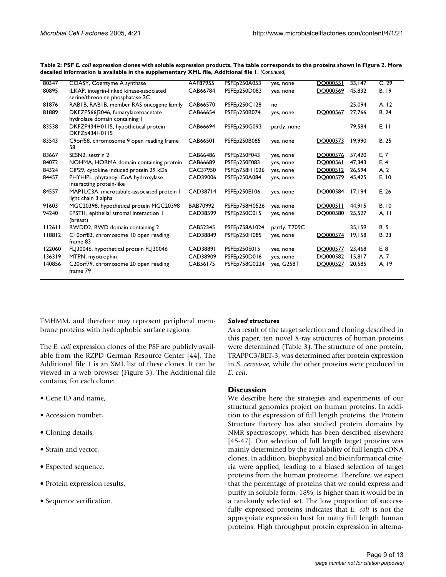| 80347  | COASY, Coenzyme A synthase                                                  | AAF87955        | <b>PSFEp250A053</b> | yes, none     | DO000551 | 33,147 | C, 29        |
|--------|-----------------------------------------------------------------------------|-----------------|---------------------|---------------|----------|--------|--------------|
| 80895  | ILKAP, integrin-linked kinase-associated<br>serine/threonine phosphatase 2C | CAB66784        | PSFEp250D083        | yes, none     | DQ000569 | 45,832 | B, 19        |
| 81876  | RABIB, RABIB, member RAS oncogene family                                    | CAB66570        | PSFEp250C128        | no            |          | 25,094 | A, 12        |
| 81889  | DKFZP566 2046, fumarylacetoacetate<br>hydrolase domain containing I         | CAB66654        | PSFEp250B074        | yes, none     | DO000567 | 27,766 | B, 24        |
| 83538  | DKFZP434H0115, hypothetical protein<br>DKFZp434H0115                        | CAB66694        | PSFEp250G093        | partly, none  |          | 79,584 | E, 11        |
| 83543  | C9orf58, chromosome 9 open reading frame<br>58                              | <b>CAB66501</b> | PSFEp250B085        | yes, none     | DO000573 | 19,990 | B, 25        |
| 83667  | SESN2, sestrin 2                                                            | CAB66486        | PSFEp250F043        | yes, none     | DO000576 | 57.420 | E, 7         |
| 84072  | NOHMA, HORMA domain containing protein                                      | CAB66689        | PSFEp250F083        | yes, none     | DO000561 | 47.343 | E.4          |
| 84324  | CIP29, cytokine induced protein 29 kDa                                      | CAC37950        | PSFEp758H1026       | yes, none     | DQ000512 | 26,594 | A, 2         |
| 84457  | PHYHIPL, phytanoyl-CoA hydroxylase<br>interacting protein-like              | CAD39006        | PSFEp250A084        | yes, none     | DO000579 | 45.425 | E, 10        |
| 84557  | MAPILC3A, microtubule-associated protein I<br>light chain 3 alpha           | CAD38714        | PSFEp250E106        | yes, none     | DO000584 | 17,194 | E, 26        |
| 91603  | MGC20398, hypothetical protein MGC20398                                     | BAB70992        | PSFEp758H0526       | yes, none     | DO000511 | 44.915 | B, 10        |
| 94240  | EPSTII, epithelial stromal interaction I<br>(breast)                        | CAD38599        | PSFEp250C015        | yes, none     | DQ000580 | 25,527 | A, I         |
| 112611 | RWDD2, RWD domain containing 2                                              | CAB52345        | PSFEp758A1024       | partly, T709C |          | 35.159 | <b>B</b> , 5 |
| 118812 | C10orf83, chromosome 10 open reading<br>frame 83                            | CAD38849        | PSFEp250H085        | yes, none     | DQ000574 | 19,158 | B, 23        |
| 122060 | FL 30046, hypothetical protein FL 30046                                     | CAD38891        | PSFEp250E015        | yes, none     | DO000577 | 23,468 | E, 8         |
| 136319 | MTPN, myotrophin                                                            | CAD38909        | PSFEp250D016        | yes, none     | DO000582 | 15,817 | A, 7         |
| 140856 | C20orf79, chromosome 20 open reading<br>frame 79                            | CAB56175        | PSFEp758G0224       | yes, G258T    | DO000527 | 20,585 | A, 19        |

**Table 2: PSF** *E. coli* **expression clones with soluble expression products. The table corresponds to the proteins shown in Figure 2. More detailed information is available in the supplementary XML file, Additional file 1.** *(Continued)*

TMHMM, and therefore may represent peripheral membrane proteins with hydrophobic surface regions.

The *E. coli* expression clones of the PSF are publicly available from the RZPD German Resource Center [44]. The Additional file 1 is an XML list of these clones. It can be viewed in a web browser (Figure [3](#page-9-0)). The Additional file contains, for each clone:

- Gene ID and name,
- Accession number,
- Cloning details,
- Strain and vector,
- Expected sequence,
- Protein expression results,
- Sequence verification.

#### *Solved structures*

As a result of the target selection and cloning described in this paper, ten novel X-ray structures of human proteins were determined (Table 3). The structure of one protein, TRAPPC3/BET-3, was determined after protein expression in *S. cerevisae*, while the other proteins were produced in *E. coli*.

#### **Discussion**

We describe here the strategies and experiments of our structural genomics project on human proteins. In addition to the expression of full length proteins, the Protein Structure Factory has also studied protein domains by NMR spectroscopy, which has been described elsewhere [45-47]. Our selection of full length target proteins was mainly determined by the availability of full length cDNA clones. In addition, biophysical and bioinformatical criteria were applied, leading to a biased selection of target proteins from the human proteome. Therefore, we expect that the percentage of proteins that we could express and purify in soluble form, 18%, is higher than it would be in a randomly selected set. The low proportion of successfully expressed proteins indicates that *E. coli* is not the appropriate expression host for many full length human proteins. High throughput protein expression in alterna-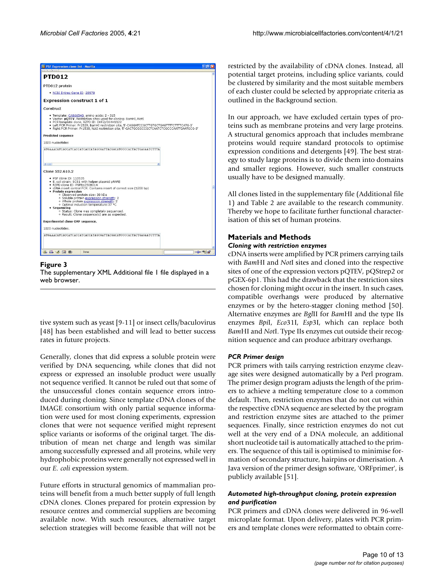<span id="page-9-0"></span>

#### Figure 3 The supplementary XML Additional file 1 file displayed in a web browser.

tive system such as yeast [9-11] or insect cells/baculovirus [48] has been established and will lead to better success rates in future projects.

Generally, clones that did express a soluble protein were verified by DNA sequencing, while clones that did not express or expressed an insoluble product were usually not sequence verified. It cannot be ruled out that some of the unsuccessful clones contain sequence errors introduced during cloning. Since template cDNA clones of the IMAGE consortium with only partial sequence information were used for most cloning experiments, expression clones that were not sequence verified might represent splice variants or isoforms of the original target. The distribution of mean net charge and length was similar among successfully expressed and all proteins, while very hydrophobic proteins were generally not expressed well in our *E. coli* expression system.

Future efforts in structural genomics of mammalian proteins will benefit from a much better supply of full length cDNA clones. Clones prepared for protein expression by resource centres and commercial suppliers are becoming available now. With such resources, alternative target selection strategies will become feasible that will not be restricted by the availability of cDNA clones. Instead, all potential target proteins, including splice variants, could be clustered by similarity and the most suitable members of each cluster could be selected by appropriate criteria as outlined in the Background section.

In our approach, we have excluded certain types of proteins such as membrane proteins and very large proteins. A structural genomics approach that includes membrane proteins would require standard protocols to optimise expression conditions and detergents [49]. The best strategy to study large proteins is to divide them into domains and smaller regions. However, such smaller constructs usually have to be designed manually.

All clones listed in the supplementary file (Additional file 1) and Table [2](#page-5-0) are available to the research community. Thereby we hope to facilitate further functional characterisation of this set of human proteins.

### **Materials and Methods**

#### *Cloning with restriction enzymes*

cDNA inserts were amplified by PCR primers carrying tails with *Bam*HI and *Not*I sites and cloned into the respective sites of one of the expression vectors pQTEV, pQStrep2 or pGEX-6p1. This had the drawback that the restriction sites chosen for cloning might occur in the insert. In such cases, compatible overhangs were produced by alternative enzymes or by the hetero-stagger cloning method [50]. Alternative enzymes are *Bgl*II for *Bam*HI and the type IIs enzymes *Bpi*I, *Eco*31I, *Esp*3I, which can replace both *Bam*HI and *Not*I. Type IIs enzymes cut outside their recognition sequence and can produce arbitrary overhangs.

#### *PCR Primer design*

PCR primers with tails carrying restriction enzyme cleavage sites were designed automatically by a Perl program. The primer design program adjusts the length of the primers to achieve a melting temperature close to a common default. Then, restriction enzymes that do not cut within the respective cDNA sequence are selected by the program and restriction enzyme sites are attached to the primer sequences. Finally, since restriction enzymes do not cut well at the very end of a DNA molecule, an additional short nucleotide tail is automatically attached to the primers. The sequence of this tail is optimised to minimise formation of secondary structure, hairpins or dimerisation. A Java version of the primer design software, 'ORFprimer', is publicly available [51].

#### *Automated high-throughput cloning, protein expression and purification*

PCR primers and cDNA clones were delivered in 96-well microplate format. Upon delivery, plates with PCR primers and template clones were reformatted to obtain corre-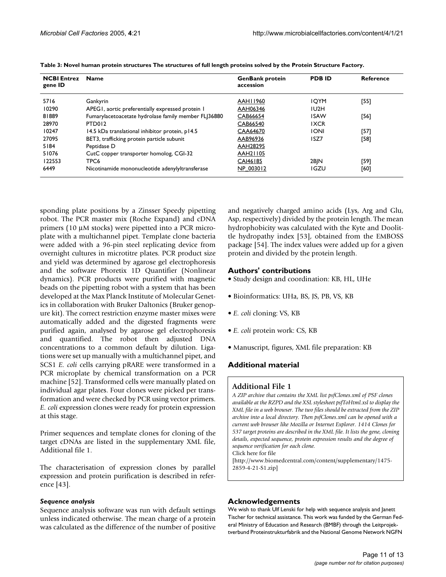| <b>NCBI</b> Entrez<br>gene ID | <b>Name</b>                                          | <b>GenBank protein</b><br>accession | <b>PDBID</b> | Reference |
|-------------------------------|------------------------------------------------------|-------------------------------------|--------------|-----------|
| 5716                          | Gankyrin                                             | AAH11960                            | <b>IOYM</b>  | [55]      |
| 10290                         | APEGI, aortic preferentially expressed protein I     | AAH06346                            | IU2H         |           |
| 81889                         | Fumarylacetoacetate hydrolase family member FLJ36880 | CAB66654                            | <b>ISAW</b>  | [56]      |
| 28970                         | PTD012                                               | CAB66540                            | <b>IXCR</b>  |           |
| 10247                         | 14.5 kDa translational inhibitor protein, p14.5      | CAA64670                            | <b>IONI</b>  | [57]      |
| 27095                         | BET3, trafficking protein particle subunit           | AAB96936                            | ISZ7         | [58]      |
| 5184                          | Peptidase D                                          | AAH28295                            |              |           |
| 51076                         | CutC copper transporter homolog, CGI-32              | AAH21105                            |              |           |
| 122553                        | TPC6                                                 | CAI46185                            | 2BJN         | [59]      |
| 6449                          | Nicotinamide mononucleotide adenylyltransferase      | NP 003012                           | <b>IGZU</b>  | [60]      |

|  | Table 3: Novel human protein structures The structures of full length proteins solved by the Protein Structure Factory. |  |
|--|-------------------------------------------------------------------------------------------------------------------------|--|
|--|-------------------------------------------------------------------------------------------------------------------------|--|

sponding plate positions by a Zinsser Speedy pipetting robot. The PCR master mix (Roche Expand) and cDNA primers (10 µM stocks) were pipetted into a PCR microplate with a multichannel pipet. Template clone bacteria were added with a 96-pin steel replicating device from overnight cultures in microtitre plates. PCR product size and yield was determined by agarose gel electrophoresis and the software Phoretix 1D Quantifier (Nonlinear dynamics). PCR products were purified with magnetic beads on the pipetting robot with a system that has been developed at the Max Planck Institute of Molecular Genetics in collaboration with Bruker Daltonics (Bruker genopure kit). The correct restriction enzyme master mixes were automatically added and the digested fragments were purified again, analysed by agarose gel electrophoresis and quantified. The robot then adjusted DNA concentrations to a common default by dilution. Ligations were set up manually with a multichannel pipet, and SCS1 *E. coli* cells carrying pRARE were transformed in a PCR microplate by chemical transformation on a PCR machine [52]. Transformed cells were manually plated on individual agar plates. Four clones were picked per transformation and were checked by PCR using vector primers. *E. coli* expression clones were ready for protein expression at this stage.

Primer sequences and template clones for cloning of the target cDNAs are listed in the supplementary XML file, Additional file 1.

The characterisation of expression clones by parallel expression and protein purification is described in reference [43].

#### *Sequence analysis*

Sequence analysis software was run with default settings unless indicated otherwise. The mean charge of a protein was calculated as the difference of the number of positive and negatively charged amino acids (Lys, Arg and Glu, Asp, respectively) divided by the protein length. The mean hydrophobicity was calculated with the Kyte and Doolittle hydropathy index [53], obtained from the EMBOSS package [54]. The index values were added up for a given protein and divided by the protein length.

#### **Authors' contributions**

- Study design and coordination: KB, HL, UHe
- Bioinformatics: UHa, BS, JS, PB, VS, KB
- *E. coli* cloning: VS, KB
- *E. coli* protein work: CS, KB
- Manuscript, figures, XML file preparation: KB

#### **Additional material**

#### **Additional File 1**

*A ZIP archive that contains the XML list psfClones.xml of PSF clones available at the RZPD and the XSL stylesheet psfToHtml.xsl to display the XML file in a web browser. The two files should be extracted from the ZIP archive into a local directory. Then psfClones.xml can be opened with a current web browser like Mozilla or Internet Explorer. 1414 Clones for 537 target proteins are described in the XML file. It lists the gene, cloning details, expected sequence, protein expression results and the degree of sequence verification for each clone.* Click here for file

[\[http://www.biomedcentral.com/content/supplementary/1475-](http://www.biomedcentral.com/content/supplementary/1475-2859-4-21-S1.zip) 2859-4-21-S1.zip]

#### **Acknowledgements**

We wish to thank Ulf Lenski for help with sequence analysis and Janett Tischer for technical assistance. This work was funded by the German Federal Ministry of Education and Research (BMBF) through the Leitprojektverbund Proteinstrukturfabrik and the National Genome Network NGFN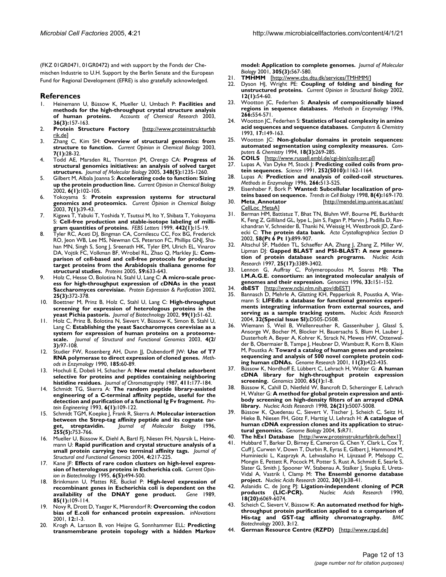(FKZ 01GR0471, 01GR0472) and with support by the Fonds der Chemischen Industrie to U.H. Support by the Berlin Senate and the European Fund for Regional Development (EFRE) is also gratefully acknowledged.

#### **References**

- 1. Heinemann U, Büssow K, Mueller U, Umbach P: **[Facilities and](http://www.ncbi.nlm.nih.gov/entrez/query.fcgi?cmd=Retrieve&db=PubMed&dopt=Abstract&list_uids=12641472) [methods for the high-throughput crystal structure analysis](http://www.ncbi.nlm.nih.gov/entrez/query.fcgi?cmd=Retrieve&db=PubMed&dopt=Abstract&list_uids=12641472) [of human proteins.](http://www.ncbi.nlm.nih.gov/entrez/query.fcgi?cmd=Retrieve&db=PubMed&dopt=Abstract&list_uids=12641472)** *Accounts of Chemical Research* 2003, **36(3):**157-163.
- 2. **Protein Structure Factory** [[http://www.proteinstrukturfab](http://www.proteinstrukturfabrik.de) [rik.de\]](http://www.proteinstrukturfabrik.de)
- 3. Zhang C, Kim SH: **[Overview of structural genomics: from](http://www.ncbi.nlm.nih.gov/entrez/query.fcgi?cmd=Retrieve&db=PubMed&dopt=Abstract&list_uids=12547423) [structure to function.](http://www.ncbi.nlm.nih.gov/entrez/query.fcgi?cmd=Retrieve&db=PubMed&dopt=Abstract&list_uids=12547423)** *Current Opinion in Chemical Biology* 2003, **7(1):**28-32.
- 4. Todd AE, Marsden RL, Thornton JM, Orengo CA: **[Progress of](http://www.ncbi.nlm.nih.gov/entrez/query.fcgi?cmd=Retrieve&db=PubMed&dopt=Abstract&list_uids=15854658) [structural genomics initiatives: an analysis of solved target](http://www.ncbi.nlm.nih.gov/entrez/query.fcgi?cmd=Retrieve&db=PubMed&dopt=Abstract&list_uids=15854658) [structures.](http://www.ncbi.nlm.nih.gov/entrez/query.fcgi?cmd=Retrieve&db=PubMed&dopt=Abstract&list_uids=15854658)** *Journal of Molecular Biology* 2005, **348(5):**1235-1260.
- 5. Gilbert M, Albala Joanna S: **[Accelerating code to function: Sizing](http://www.ncbi.nlm.nih.gov/entrez/query.fcgi?cmd=Retrieve&db=PubMed&dopt=Abstract&list_uids=11827832) [up the protein production line.](http://www.ncbi.nlm.nih.gov/entrez/query.fcgi?cmd=Retrieve&db=PubMed&dopt=Abstract&list_uids=11827832)** *Current Opinion in Chemical Biology* 2002, **6(1):**102-105.
- 6. Yokoyama S: **[Protein expression systems for structural](http://www.ncbi.nlm.nih.gov/entrez/query.fcgi?cmd=Retrieve&db=PubMed&dopt=Abstract&list_uids=12547425) [genomics and proteomics.](http://www.ncbi.nlm.nih.gov/entrez/query.fcgi?cmd=Retrieve&db=PubMed&dopt=Abstract&list_uids=12547425)** *Current Opinion in Chemical Biology* 2003, **7(1):**39-43.
- 7. Kigawa T, Yabuki T, Yoshida Y, Tsutsui M, Ito Y, Shibata T, Yokoyama S: **[Cell-free production and stable-isotope labeling of milli](http://www.ncbi.nlm.nih.gov/entrez/query.fcgi?cmd=Retrieve&db=PubMed&dopt=Abstract&list_uids=9923595)[gram quantities of proteins.](http://www.ncbi.nlm.nih.gov/entrez/query.fcgi?cmd=Retrieve&db=PubMed&dopt=Abstract&list_uids=9923595)** *FEBS Letters* 1999, **442(1):**15-19.
- 8. Tyler RC, Aceti DJ, Bingman CA, Cornilescu CC, Fox BG, Frederick RO, Jeon WB, Lee MS, Newman CS, Peterson FC, Phillips GNJ, Shahan MN, Singh S, Song J, Sreenath HK, Tyler EM, Ulrich EL, Vinarov DA, Vojtik FC, Volkman BF, Wrobel RL, Zhao Q, Markley JL: **[Com](http://www.ncbi.nlm.nih.gov/entrez/query.fcgi?cmd=Retrieve&db=PubMed&dopt=Abstract&list_uids=15789406)[parison of cell-based and cell-free protocols for producing](http://www.ncbi.nlm.nih.gov/entrez/query.fcgi?cmd=Retrieve&db=PubMed&dopt=Abstract&list_uids=15789406) target proteins from the Arabidopsis thaliana genome for [structural studies.](http://www.ncbi.nlm.nih.gov/entrez/query.fcgi?cmd=Retrieve&db=PubMed&dopt=Abstract&list_uids=15789406)** *Proteins* 2005, **59:**633-643.
- 9. Holz C, Hesse O, Bolotina N, Stahl U, Lang C: **A micro-scale process for high-throughput expression of cDNAs in the yeast Saccharomyces cerevisiae.** *Protein Expression & Purification* 2002, **25(3):**372-378.
- 10. Boettner M, Prinz B, Holz C, Stahl U, Lang C: **[High-throughput](http://www.ncbi.nlm.nih.gov/entrez/query.fcgi?cmd=Retrieve&db=PubMed&dopt=Abstract&list_uids=12204557) [screening for expression of heterologous proteins in the](http://www.ncbi.nlm.nih.gov/entrez/query.fcgi?cmd=Retrieve&db=PubMed&dopt=Abstract&list_uids=12204557) [yeast Pichia pastoris.](http://www.ncbi.nlm.nih.gov/entrez/query.fcgi?cmd=Retrieve&db=PubMed&dopt=Abstract&list_uids=12204557)** *Journal of Biotechnology* 2002, **99(1):**51-62.
- 11. Holz C, Prinz B, Bolotina N, Sievert V, Büssow K, Simon B, Stahl U, Lang C: **Establishing the yeast Saccharomyces cerevisiae as a** system for expression of human proteins on a proteome-<br>scale. Journal of Structural and Functional Genomics 2003. 4(2) **scale.** *Journal of Structural and Functional Genomics* 2003, **4(2/ 3):**97-108.
- Studier FW, Rosenberg AH, Dunn JJ, Dubendorff JW: [Use of T7](http://www.ncbi.nlm.nih.gov/entrez/query.fcgi?cmd=Retrieve&db=PubMed&dopt=Abstract&list_uids=2199796) **[RNA polymerase to direct expression of cloned genes.](http://www.ncbi.nlm.nih.gov/entrez/query.fcgi?cmd=Retrieve&db=PubMed&dopt=Abstract&list_uids=2199796)** *Methods in Enzymology* 1990, **185:**60-89.
- 13. Hochuli E, Dobeli H, Schacher A: **[New metal chelate adsorbent](http://www.ncbi.nlm.nih.gov/entrez/query.fcgi?cmd=Retrieve&db=PubMed&dopt=Abstract&list_uids=3443622) [selective for proteins and peptides containing neighboring](http://www.ncbi.nlm.nih.gov/entrez/query.fcgi?cmd=Retrieve&db=PubMed&dopt=Abstract&list_uids=3443622) [histidine residues.](http://www.ncbi.nlm.nih.gov/entrez/query.fcgi?cmd=Retrieve&db=PubMed&dopt=Abstract&list_uids=3443622)** *Journal of Chromatography* 1987, **411:**177-184.
- 14. Schmidt TG, Skerra A: **[The random peptide library-assisted](http://www.ncbi.nlm.nih.gov/entrez/query.fcgi?cmd=Retrieve&db=PubMed&dopt=Abstract&list_uids=8433964) [engineering of a C-terminal affinity peptide, useful for the](http://www.ncbi.nlm.nih.gov/entrez/query.fcgi?cmd=Retrieve&db=PubMed&dopt=Abstract&list_uids=8433964) [detection and purification of a functional Ig Fv fragment.](http://www.ncbi.nlm.nih.gov/entrez/query.fcgi?cmd=Retrieve&db=PubMed&dopt=Abstract&list_uids=8433964)** *Protein Engineering* 1993, **6(1):**109-122.
- 15. Schmidt TGM, Koepke J, Frank R, Skerra A: **[Molecular interaction](http://www.ncbi.nlm.nih.gov/entrez/query.fcgi?cmd=Retrieve&db=PubMed&dopt=Abstract&list_uids=8636976) [between the Strep-tag affinity peptide and its cognate tar](http://www.ncbi.nlm.nih.gov/entrez/query.fcgi?cmd=Retrieve&db=PubMed&dopt=Abstract&list_uids=8636976)**streptavidin. Journal of Molecular Biology **255(5):**753-766.
- 16. Mueller U, Büssow K, Diehl A, Bartl FJ, Niesen FH, Nyarsik L, Heinemann U: **Rapid purification and crystal structure analysis of a small protein carrying two terminal affinity tags.** *Journal of Structural and Functional Genomics* 2004, **4:**217-225.
- 17. Kane JF: **[Effects of rare codon clusters on high-level expres](http://www.ncbi.nlm.nih.gov/entrez/query.fcgi?cmd=Retrieve&db=PubMed&dopt=Abstract&list_uids=7579660)[sion of heterologous proteins in Escherichia coli.](http://www.ncbi.nlm.nih.gov/entrez/query.fcgi?cmd=Retrieve&db=PubMed&dopt=Abstract&list_uids=7579660)** *Current Opinion in Biotechnology* 1995, **6(5):**494-500.
- 18. Brinkmann U, Mattes RE, Buckel P: **[High-level expression of](http://www.ncbi.nlm.nih.gov/entrez/query.fcgi?cmd=Retrieve&db=PubMed&dopt=Abstract&list_uids=2515992) [recombinant genes in Escherichia coli is dependent on the](http://www.ncbi.nlm.nih.gov/entrez/query.fcgi?cmd=Retrieve&db=PubMed&dopt=Abstract&list_uids=2515992)** [availability of the DNAY gene product.](http://www.ncbi.nlm.nih.gov/entrez/query.fcgi?cmd=Retrieve&db=PubMed&dopt=Abstract&list_uids=2515992) **85(1):**109-114.
- 19. Novy R, Drott D, Yaeger K, Mierendorf R: **Overcoming the codon bias of E.coli for enhanced protein expression.** *inNovations* 2001, **12:**1-3.
- 20. Krogh A, Larsson B, von Heijne G, Sonnhammer ELL: **[Predicting](http://www.ncbi.nlm.nih.gov/entrez/query.fcgi?cmd=Retrieve&db=PubMed&dopt=Abstract&list_uids=11152613) [transmembrane protein topology with a hidden Markov](http://www.ncbi.nlm.nih.gov/entrez/query.fcgi?cmd=Retrieve&db=PubMed&dopt=Abstract&list_uids=11152613)**

**[model: Application to complete genomes.](http://www.ncbi.nlm.nih.gov/entrez/query.fcgi?cmd=Retrieve&db=PubMed&dopt=Abstract&list_uids=11152613)** *Journal of Molecular Biology* 2001, **305(3):**567-580.

- 21. **TMHMM** [\[http://www.cbs.dtu.dk/services/TMHMM/](http://www.cbs.dtu.dk/services/TMHMM/)]
- 22. Dyson HJ, Wright PE: **[Coupling of folding and binding for](http://www.ncbi.nlm.nih.gov/entrez/query.fcgi?cmd=Retrieve&db=PubMed&dopt=Abstract&list_uids=11839490) [unstructured proteins.](http://www.ncbi.nlm.nih.gov/entrez/query.fcgi?cmd=Retrieve&db=PubMed&dopt=Abstract&list_uids=11839490)** *Current Opinion in Structural Biology* 2002, **12(1):**54-60.
- 23. Wootton JC, Federhen S: **[Analysis of compositionally biased](http://www.ncbi.nlm.nih.gov/entrez/query.fcgi?cmd=Retrieve&db=PubMed&dopt=Abstract&list_uids=8743706) [regions in sequence databases.](http://www.ncbi.nlm.nih.gov/entrez/query.fcgi?cmd=Retrieve&db=PubMed&dopt=Abstract&list_uids=8743706)** *Methods in Enzymology* 1996, **266:**554-571.
- 24. Wootton JC, Federhen S: **Statistics of local complexity in amino acid sequences and sequence databases.** *Computers & Chemistry* 1993, **17:**149-163.
- 25. Wootton JC: **[Non-globular domains in protein sequences:](http://www.ncbi.nlm.nih.gov/entrez/query.fcgi?cmd=Retrieve&db=PubMed&dopt=Abstract&list_uids=7952898) [automated segmentation using complexity measures.](http://www.ncbi.nlm.nih.gov/entrez/query.fcgi?cmd=Retrieve&db=PubMed&dopt=Abstract&list_uids=7952898)** *Com-*
- *puters & Chemistry* 1994, **18(3):**269-285.
- 26. **COILS** [<http://www.russell.embl.de/cgi-bin/coils-svr.pl>] 27. Lupas A, Van Dyke M, Stock J: **[Predicting coiled coils from pro](http://www.ncbi.nlm.nih.gov/entrez/query.fcgi?cmd=Retrieve&db=PubMed&dopt=Abstract&list_uids=2031185)[tein sequences.](http://www.ncbi.nlm.nih.gov/entrez/query.fcgi?cmd=Retrieve&db=PubMed&dopt=Abstract&list_uids=2031185)** *Science* 1991, **252(5010):**1162-1164.
- 28. Lupas A: **[Prediction and analysis of coiled-coil structures.](http://www.ncbi.nlm.nih.gov/entrez/query.fcgi?cmd=Retrieve&db=PubMed&dopt=Abstract&list_uids=8743703)** *Methods in Enzymology* 1996, **266:**513-525.
- 29. Eisenhaber F, Bork P: **[Wanted: Subcellular localization of pro-](http://www.ncbi.nlm.nih.gov/entrez/query.fcgi?cmd=Retrieve&db=PubMed&dopt=Abstract&list_uids=9695832)**
- **[teins based on sequence.](http://www.ncbi.nlm.nih.gov/entrez/query.fcgi?cmd=Retrieve&db=PubMed&dopt=Abstract&list_uids=9695832)** *Trends in Cell Biology* 1998, **8(4):**169-170. [\[http://mendel.imp.univie.ac.at/aat/](http://mendel.imp.univie.ac.at/aat/CellLoc_MetaA) [CellLoc\\_MetaA](http://mendel.imp.univie.ac.at/aat/CellLoc_MetaA)]
- 31. Berman HM, Battistuz T, Bhat TN, Bluhm WF, Bourne PE, Burkhardt K, Feng Z, Gilliland GL, Iype L, Jain S, Fagan P, Marvin J, Padilla D, Ravichandran V, Schneider B, Thanki N, Weissig H, Westbrook JD, Zardecki C: **[The protein data bank.](http://www.ncbi.nlm.nih.gov/entrez/query.fcgi?cmd=Retrieve&db=PubMed&dopt=Abstract&list_uids=12037327)** *Acta Crystallographica Section D* 2002, **58(Pt 6 Pt 1):**899-907.
- 32. Altschul SF, Madden TL, Schaeffer AA, Zhang J, Zhang Z, Miller W, Lipman DJ: **[Gapped BLAST and PSI-BLAST: A new genera](http://www.ncbi.nlm.nih.gov/entrez/query.fcgi?cmd=Retrieve&db=PubMed&dopt=Abstract&list_uids=9254694)[tion of protein database search programs.](http://www.ncbi.nlm.nih.gov/entrez/query.fcgi?cmd=Retrieve&db=PubMed&dopt=Abstract&list_uids=9254694)** *Nucleic Acids Research* 1997, **25(17):**3389-3402.
- 33. Lennon G, Auffray C, Polymeropoulos M, Soares MB: **[The](http://www.ncbi.nlm.nih.gov/entrez/query.fcgi?cmd=Retrieve&db=PubMed&dopt=Abstract&list_uids=8617505) [I.M.A.G.E. consortium: an integrated molecular analysis of](http://www.ncbi.nlm.nih.gov/entrez/query.fcgi?cmd=Retrieve&db=PubMed&dopt=Abstract&list_uids=8617505) [genomes and their expression.](http://www.ncbi.nlm.nih.gov/entrez/query.fcgi?cmd=Retrieve&db=PubMed&dopt=Abstract&list_uids=8617505)** *Genomics* 1996, **33:**151-152.
- 34. **dbEST** [\[http://www.ncbi.nlm.nih.gov/dbEST](http://www.ncbi.nlm.nih.gov/dbEST)]
- 35. Bannasch D, Mehrle A, Glatting KH, Pepperkok R, Poustka A, Wiemann S: **LIFEdb: a database for functional genomics experiments integrating information from external sources, and serving as a sample tracking system.** *Nucleic Acids Research* 2004, **32(Special Issue SI):**D505-D508.
- 36. Wiemann S, Weil B, Wellenreuther R, Gassenhuber J, Glassl S, Ansorge W, Bocher M, Blocker H, Bauersachs S, Blum H, Lauber J, Dusterhoft A, Beyer A, Kohrer K, Strack N, Mewes HW, Ottenwalder B, Obermaier B, Tampe J, Heubner D, Wambutt R, Korn B, Klein M, Poustka A: **[Toward a catalog of human genes and proteins:](http://www.ncbi.nlm.nih.gov/entrez/query.fcgi?cmd=Retrieve&db=PubMed&dopt=Abstract&list_uids=11230166) [sequencing and analysis of 500 novel complete protein cod](http://www.ncbi.nlm.nih.gov/entrez/query.fcgi?cmd=Retrieve&db=PubMed&dopt=Abstract&list_uids=11230166)[ing human cDNAs.](http://www.ncbi.nlm.nih.gov/entrez/query.fcgi?cmd=Retrieve&db=PubMed&dopt=Abstract&list_uids=11230166)** *Genome Research* 2001, **11(3):**422-435.
- 37. Büssow K, Nordhoff E, Lübbert C, Lehrach H, Walter G: **[A human](http://www.ncbi.nlm.nih.gov/entrez/query.fcgi?cmd=Retrieve&db=PubMed&dopt=Abstract&list_uids=10777659) [cDNA library for high-throughput protein expression](http://www.ncbi.nlm.nih.gov/entrez/query.fcgi?cmd=Retrieve&db=PubMed&dopt=Abstract&list_uids=10777659) [screening.](http://www.ncbi.nlm.nih.gov/entrez/query.fcgi?cmd=Retrieve&db=PubMed&dopt=Abstract&list_uids=10777659)** *Genomics* 2000, **65(1):**1-8.
- 38. Büssow K, Cahill D, Nietfeld W, Bancroft D, Scherzinger E, Lehrach H, Walter G: **[A method for global protein expression and anti](http://www.ncbi.nlm.nih.gov/entrez/query.fcgi?cmd=Retrieve&db=PubMed&dopt=Abstract&list_uids=9776767)[body screening on high-density filters of an arrayed cDNA](http://www.ncbi.nlm.nih.gov/entrez/query.fcgi?cmd=Retrieve&db=PubMed&dopt=Abstract&list_uids=9776767) [library.](http://www.ncbi.nlm.nih.gov/entrez/query.fcgi?cmd=Retrieve&db=PubMed&dopt=Abstract&list_uids=9776767)** *Nucleic Acids Research* 1998, **26(21):**5007-5008.
- 39. Büssow K, Quedenau C, Sievert V, Tischer J, Scheich C, Seitz H, Hieke B, Niesen FH, Götz F, Harttig U, Lehrach H: **[A catalogue of](http://www.ncbi.nlm.nih.gov/entrez/query.fcgi?cmd=Retrieve&db=PubMed&dopt=Abstract&list_uids=15345055) [human cDNA expression clones and its application to struc](http://www.ncbi.nlm.nih.gov/entrez/query.fcgi?cmd=Retrieve&db=PubMed&dopt=Abstract&list_uids=15345055)[tural genomics.](http://www.ncbi.nlm.nih.gov/entrez/query.fcgi?cmd=Retrieve&db=PubMed&dopt=Abstract&list_uids=15345055)** *Genome Biology* 2004, **5:**R71.
- The hEx1 Database [\[http://www.proteinstrukturfabrik.de/hex1\]](http://www.proteinstrukturfabrik.de/hex1)
- 41. Hubbard T, Barker D, Birney E, Cameron G, Chen Y, Clark L, Cox T, Cuff J, Curwen V, Down T, Durbin R, Eyras E, Gilbert J, Hammond M, Huminiecki L, Kasprzyk A, Lehvaslaiho H, Lijnzaad P, Melsopp C, Mongin E, Pettett R, Pocock M, Potter S, Rust A, Schmidt E, Searle S, Slater G, Smith J, Spooner W, Stabenau A, Stalker J, Stupka E, Ureta-Vidal A, Vastrik I, Clamp M: **[The Ensembl genome database](http://www.ncbi.nlm.nih.gov/entrez/query.fcgi?cmd=Retrieve&db=PubMed&dopt=Abstract&list_uids=11752248) [project.](http://www.ncbi.nlm.nih.gov/entrez/query.fcgi?cmd=Retrieve&db=PubMed&dopt=Abstract&list_uids=11752248)** *Nucleic Acids Research* 2002, **30(1):**38-41.
- Aslanidis C, de Jong PJ: **[Ligation-independent cloning of PCR](http://www.ncbi.nlm.nih.gov/entrez/query.fcgi?cmd=Retrieve&db=PubMed&dopt=Abstract&list_uids=2235490)**<br> **products** (LIC-PCR). Nucleic Acids Research 1990, **[products \(LIC-PCR\).](http://www.ncbi.nlm.nih.gov/entrez/query.fcgi?cmd=Retrieve&db=PubMed&dopt=Abstract&list_uids=2235490)** *Nucleic Acids Research* 1990, **products (LIC-**<br>18(20):6069-6074.
- Scheich C, Sievert V, Büssow K: [An automated method for high](http://www.ncbi.nlm.nih.gov/entrez/query.fcgi?cmd=Retrieve&db=PubMed&dopt=Abstract&list_uids=12885298)**[throughput protein purification applied to a comparison of](http://www.ncbi.nlm.nih.gov/entrez/query.fcgi?cmd=Retrieve&db=PubMed&dopt=Abstract&list_uids=12885298)** [His-tag and GST-tag affinity chromatography.](http://www.ncbi.nlm.nih.gov/entrez/query.fcgi?cmd=Retrieve&db=PubMed&dopt=Abstract&list_uids=12885298) *Biotechnology* 2003, **3:**12.
- 44. **German Resource Centre (RZPD)** [\[http://www.rzpd.de\]](http://www.rzpd.de)